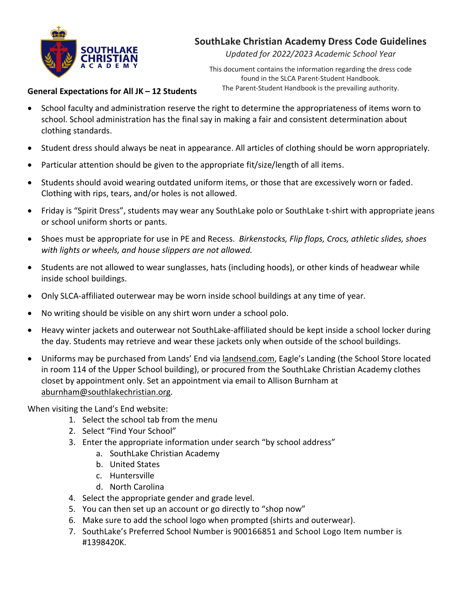

# **SouthLake Christian Academy Dress Code Guidelines**

*Updated for 2022/2023 Academic School Year*

This document contains the information regarding the dress code found in the SLCA Parent-Student Handbook. The Parent-Student Handbook is the prevailing authority.

### **General Expectations for All JK – 12 Students**

- School faculty and administration reserve the right to determine the appropriateness of items worn to school. School administration has the final say in making a fair and consistent determination about clothing standards.
- Student dress should always be neat in appearance. All articles of clothing should be worn appropriately.
- Particular attention should be given to the appropriate fit/size/length of all items.
- Students should avoid wearing outdated uniform items, or those that are excessively worn or faded. Clothing with rips, tears, and/or holes is not allowed.
- Friday is "Spirit Dress", students may wear any SouthLake polo or SouthLake t-shirt with appropriate jeans or school uniform shorts or pants.
- Shoes must be appropriate for use in PE and Recess. *Birkenstocks, Flip flops, Crocs, athletic slides, shoes with lights or wheels, and house slippers are not allowed.*
- Students are not allowed to wear sunglasses, hats (including hoods), or other kinds of headwear while inside school buildings.
- Only SLCA-affiliated outerwear may be worn inside school buildings at any time of year.
- No writing should be visible on any shirt worn under a school polo.
- Heavy winter jackets and outerwear not SouthLake-affiliated should be kept inside a school locker during the day. Students may retrieve and wear these jackets only when outside of the school buildings.
- Uniforms may be purchased from Lands' End via landsend.com, Eagle's Landing (the School Store located in room 114 of the Upper School building), or procured from the SouthLake Christian Academy clothes closet by appointment only. Set an appointment via email to Allison Burnham at aburnham@southlakechristian.org.

When visiting the Land's End website:

- 1. Select the school tab from the menu
- 2. Select "Find Your School"
- 3. Enter the appropriate information under search "by school address"
	- a. SouthLake Christian Academy
	- b. United States
	- c. Huntersville
	- d. North Carolina
- 4. Select the appropriate gender and grade level.
- 5. You can then set up an account or go directly to "shop now"
- 6. Make sure to add the school logo when prompted (shirts and outerwear).
- 7. SouthLake's Preferred School Number is 900166851 and School Logo Item number is #1398420K.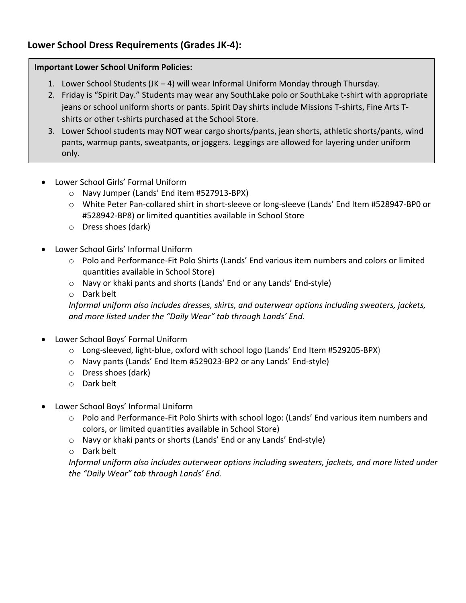## **Lower School Dress Requirements (Grades JK-4):**

### **Important Lower School Uniform Policies:**

- 1. Lower School Students (JK 4) will wear Informal Uniform Monday through Thursday.
- 2. Friday is "Spirit Day." Students may wear any SouthLake polo or SouthLake t-shirt with appropriate jeans or school uniform shorts or pants. Spirit Day shirts include Missions T-shirts, Fine Arts Tshirts or other t-shirts purchased at the School Store.
- 3. Lower School students may NOT wear cargo shorts/pants, jean shorts, athletic shorts/pants, wind pants, warmup pants, sweatpants, or joggers. Leggings are allowed for layering under uniform only.
- Lower School Girls' Formal Uniform
	- o Navy Jumper (Lands' End item #527913-BPX)
	- o White Peter Pan-collared shirt in short-sleeve or long-sleeve (Lands' End Item #528947-BP0 or #528942-BP8) or limited quantities available in School Store
	- o Dress shoes (dark)
- Lower School Girls' Informal Uniform
	- o Polo and Performance-Fit Polo Shirts (Lands' End various item numbers and colors or limited quantities available in School Store)
	- o Navy or khaki pants and shorts (Lands' End or any Lands' End-style)
	- o Dark belt

*Informal uniform also includes dresses, skirts, and outerwear options including sweaters, jackets, and more listed under the "Daily Wear" tab through Lands' End.*

- Lower School Boys' Formal Uniform
	- o Long-sleeved, light-blue, oxford with school logo (Lands' End Item #529205-BPX)
	- o Navy pants (Lands' End Item #529023-BP2 or any Lands' End-style)
	- o Dress shoes (dark)
	- o Dark belt
- Lower School Boys' Informal Uniform
	- o Polo and Performance-Fit Polo Shirts with school logo: (Lands' End various item numbers and colors, or limited quantities available in School Store)
	- o Navy or khaki pants or shorts (Lands' End or any Lands' End-style)
	- o Dark belt

*Informal uniform also includes outerwear options including sweaters, jackets, and more listed under the "Daily Wear" tab through Lands' End.*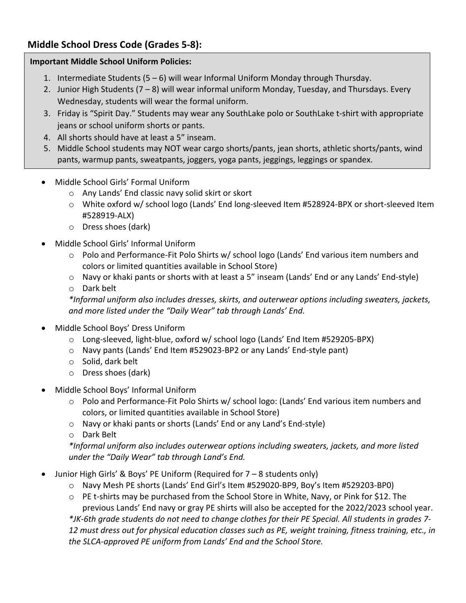## **Middle School Dress Code (Grades 5-8):**

### **Important Middle School Uniform Policies:**

- 1. Intermediate Students (5 6) will wear Informal Uniform Monday through Thursday.
- 2. Junior High Students  $(7 8)$  will wear informal uniform Monday, Tuesday, and Thursdays. Every Wednesday, students will wear the formal uniform.
- 3. Friday is "Spirit Day." Students may wear any SouthLake polo or SouthLake t-shirt with appropriate jeans or school uniform shorts or pants.
- 4. All shorts should have at least a 5" inseam.
- 5. Middle School students may NOT wear cargo shorts/pants, jean shorts, athletic shorts/pants, wind pants, warmup pants, sweatpants, joggers, yoga pants, jeggings, leggings or spandex.
- Middle School Girls' Formal Uniform
	- o Any Lands' End classic navy solid skirt or skort
	- o White oxford w/ school logo (Lands' End long-sleeved Item #528924-BPX or short-sleeved Item #528919-ALX)
	- o Dress shoes (dark)
- Middle School Girls' Informal Uniform
	- o Polo and Performance-Fit Polo Shirts w/ school logo (Lands' End various item numbers and colors or limited quantities available in School Store)
	- o Navy or khaki pants or shorts with at least a 5" inseam (Lands' End or any Lands' End-style)
	- o Dark belt

*\*Informal uniform also includes dresses, skirts, and outerwear options including sweaters, jackets, and more listed under the "Daily Wear" tab through Lands' End.*

- Middle School Boys' Dress Uniform
	- o Long-sleeved, light-blue, oxford w/ school logo (Lands' End Item #529205-BPX)
	- o Navy pants (Lands' End Item #529023-BP2 or any Lands' End-style pant)
	- o Solid, dark belt
	- o Dress shoes (dark)
- Middle School Boys' Informal Uniform
	- o Polo and Performance-Fit Polo Shirts w/ school logo: (Lands' End various item numbers and colors, or limited quantities available in School Store)
	- o Navy or khaki pants or shorts (Lands' End or any Land's End-style)
	- o Dark Belt

*\*Informal uniform also includes outerwear options including sweaters, jackets, and more listed under the "Daily Wear" tab through Land's End.*

- Junior High Girls' & Boys' PE Uniform (Required for 7 8 students only)
	- o Navy Mesh PE shorts (Lands' End Girl's Item #529020-BP9, Boy's Item #529203-BP0)
	- o PE t-shirts may be purchased from the School Store in White, Navy, or Pink for \$12. The

previous Lands' End navy or gray PE shirts will also be accepted for the 2022/2023 school year. *\*JK-6th grade students do not need to change clothes for their PE Special. All students in grades 7- 12 must dress out for physical education classes such as PE, weight training, fitness training, etc., in the SLCA-approved PE uniform from Lands' End and the School Store.*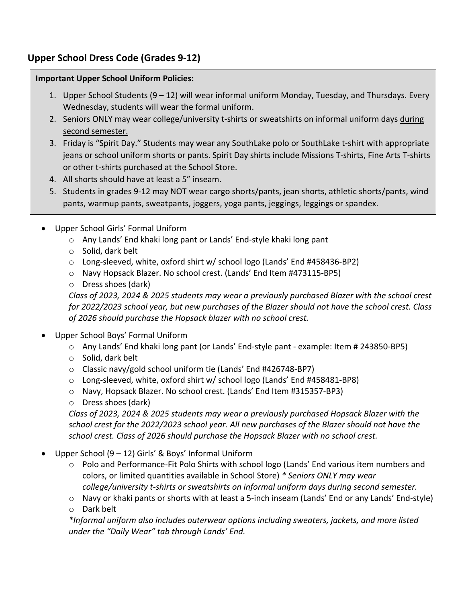## **Upper School Dress Code (Grades 9-12)**

#### **Important Upper School Uniform Policies:**

- 1. Upper School Students (9 12) will wear informal uniform Monday, Tuesday, and Thursdays. Every Wednesday, students will wear the formal uniform.
- 2. Seniors ONLY may wear college/university t-shirts or sweatshirts on informal uniform days during second semester.
- 3. Friday is "Spirit Day." Students may wear any SouthLake polo or SouthLake t-shirt with appropriate jeans or school uniform shorts or pants. Spirit Day shirts include Missions T-shirts, Fine Arts T-shirts or other t-shirts purchased at the School Store.
- 4. All shorts should have at least a 5" inseam.
- 5. Students in grades 9-12 may NOT wear cargo shorts/pants, jean shorts, athletic shorts/pants, wind pants, warmup pants, sweatpants, joggers, yoga pants, jeggings, leggings or spandex.
- Upper School Girls' Formal Uniform
	- o Any Lands' End khaki long pant or Lands' End-style khaki long pant
	- o Solid, dark belt
	- o Long-sleeved, white, oxford shirt w/ school logo (Lands' End #458436-BP2)
	- o Navy Hopsack Blazer. No school crest. (Lands' End Item #473115-BP5)
	- o Dress shoes (dark)

*Class of 2023, 2024 & 2025 students may wear a previously purchased Blazer with the school crest for 2022/2023 school year, but new purchases of the Blazer should not have the school crest. Class of 2026 should purchase the Hopsack blazer with no school crest.*

- Upper School Boys' Formal Uniform
	- o Any Lands' End khaki long pant (or Lands' End-style pant example: Item # 243850-BP5)
	- o Solid, dark belt
	- o Classic navy/gold school uniform tie (Lands' End #426748-BP7)
	- o Long-sleeved, white, oxford shirt w/ school logo (Lands' End #458481-BP8)
	- o Navy, Hopsack Blazer. No school crest. (Lands' End Item #315357-BP3)
	- o Dress shoes (dark)

*Class of 2023, 2024 & 2025 students may wear a previously purchased Hopsack Blazer with the school crest for the 2022/2023 school year. All new purchases of the Blazer should not have the school crest. Class of 2026 should purchase the Hopsack Blazer with no school crest.*

- Upper School (9 12) Girls' & Boys' Informal Uniform
	- o Polo and Performance-Fit Polo Shirts with school logo (Lands' End various item numbers and colors, or limited quantities available in School Store) *\* Seniors ONLY may wear college/university t-shirts or sweatshirts on informal uniform days during second semester.*
	- o Navy or khaki pants or shorts with at least a 5-inch inseam (Lands' End or any Lands' End-style)
	- o Dark belt

*\*Informal uniform also includes outerwear options including sweaters, jackets, and more listed under the "Daily Wear" tab through Lands' End.*